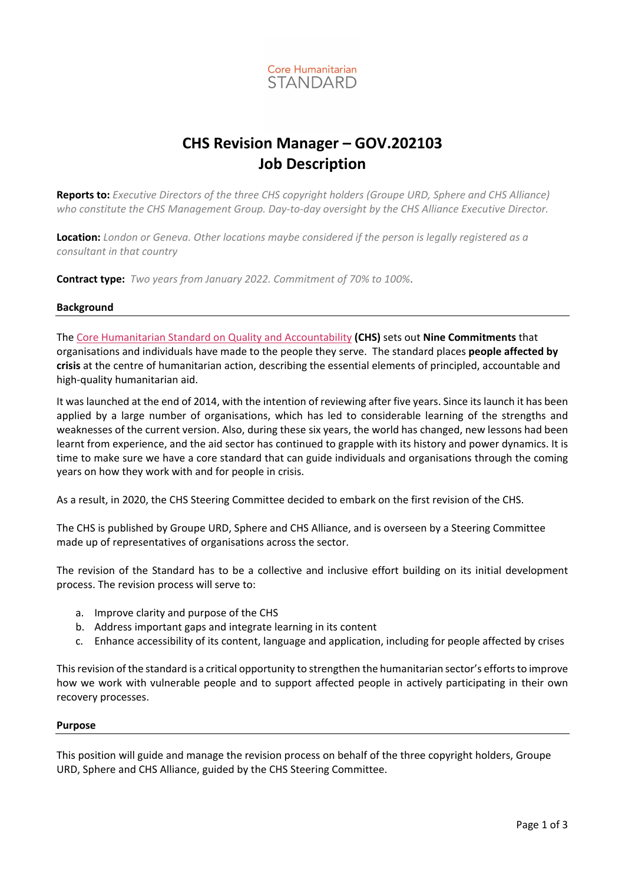

# **CHS Revision Manager – GOV.202103 Job Description**

**Reports to:** *Executive Directors of the three CHS copyright holders (Groupe URD, Sphere and CHS Alliance) who constitute the CHS Management Group. Day-to-day oversight by the CHS Alliance Executive Director.* 

**Location:** *London or Geneva. Other locations maybe considered if the person is legally registered as a consultant in that country*

**Contract type:** *Two years from January 2022. Commitment of 70% to 100%*.

### **Background**

The [Core Humanitarian Standard on Quality and Accountability](https://corehumanitarianstandard.org/the-standard/language-versions) **(CHS)** sets out **Nine Commitments** that organisations and individuals have made to the people they serve. The standard places **people affected by crisis** at the centre of humanitarian action, describing the essential elements of principled, accountable and high-quality humanitarian aid.

It was launched at the end of 2014, with the intention of reviewing after five years. Since its launch it has been applied by a large number of organisations, which has led to considerable learning of the strengths and weaknesses of the current version. Also, during these six years, the world has changed, new lessons had been learnt from experience, and the aid sector has continued to grapple with its history and power dynamics. It is time to make sure we have a core standard that can guide individuals and organisations through the coming years on how they work with and for people in crisis.

As a result, in 2020, the CHS Steering Committee decided to embark on the first revision of the CHS.

The CHS is published by Groupe URD, Sphere and CHS Alliance, and is overseen by a Steering Committee made up of representatives of organisations across the sector.

The revision of the Standard has to be a collective and inclusive effort building on its initial development process. The revision process will serve to:

- a. Improve clarity and purpose of the CHS
- b. Address important gaps and integrate learning in its content
- c. Enhance accessibility of its content, language and application, including for people affected by crises

This revision of the standard is a critical opportunity to strengthen the humanitarian sector's efforts to improve how we work with vulnerable people and to support affected people in actively participating in their own recovery processes.

#### **Purpose**

This position will guide and manage the revision process on behalf of the three copyright holders, Groupe URD, Sphere and CHS Alliance, guided by the CHS Steering Committee.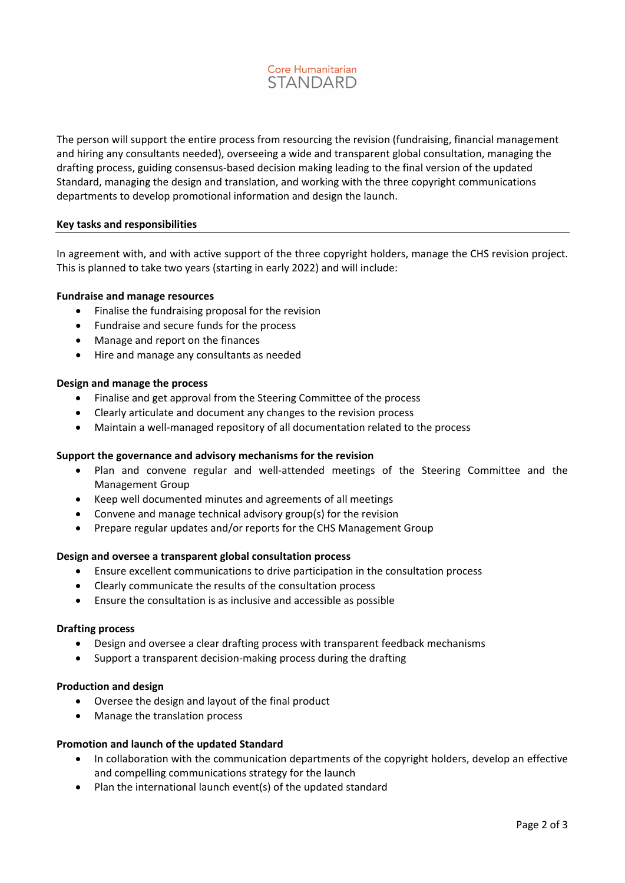

The person will support the entire process from resourcing the revision (fundraising, financial management and hiring any consultants needed), overseeing a wide and transparent global consultation, managing the drafting process, guiding consensus-based decision making leading to the final version of the updated Standard, managing the design and translation, and working with the three copyright communications departments to develop promotional information and design the launch.

#### **Key tasks and responsibilities**

In agreement with, and with active support of the three copyright holders, manage the CHS revision project. This is planned to take two years (starting in early 2022) and will include:

#### **Fundraise and manage resources**

- Finalise the fundraising proposal for the revision
- Fundraise and secure funds for the process
- Manage and report on the finances
- Hire and manage any consultants as needed

#### **Design and manage the process**

- Finalise and get approval from the Steering Committee of the process
- Clearly articulate and document any changes to the revision process
- Maintain a well-managed repository of all documentation related to the process

#### **Support the governance and advisory mechanisms for the revision**

- Plan and convene regular and well-attended meetings of the Steering Committee and the Management Group
- Keep well documented minutes and agreements of all meetings
- Convene and manage technical advisory group(s) for the revision
- Prepare regular updates and/or reports for the CHS Management Group

#### **Design and oversee a transparent global consultation process**

- Ensure excellent communications to drive participation in the consultation process
- Clearly communicate the results of the consultation process
- Ensure the consultation is as inclusive and accessible as possible

#### **Drafting process**

- Design and oversee a clear drafting process with transparent feedback mechanisms
- Support a transparent decision-making process during the drafting

#### **Production and design**

- Oversee the design and layout of the final product
- Manage the translation process

#### **Promotion and launch of the updated Standard**

- In collaboration with the communication departments of the copyright holders, develop an effective and compelling communications strategy for the launch
- Plan the international launch event(s) of the updated standard